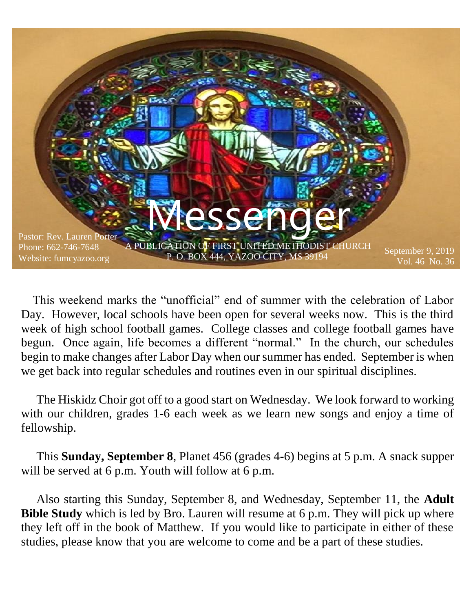

 This weekend marks the "unofficial" end of summer with the celebration of Labor Day. However, local schools have been open for several weeks now. This is the third week of high school football games. College classes and college football games have begun. Once again, life becomes a different "normal." In the church, our schedules begin to make changes after Labor Day when our summer has ended. September is when we get back into regular schedules and routines even in our spiritual disciplines.

 The Hiskidz Choir got off to a good start on Wednesday. We look forward to working with our children, grades 1-6 each week as we learn new songs and enjoy a time of fellowship.

 This **Sunday, September 8**, Planet 456 (grades 4-6) begins at 5 p.m. A snack supper will be served at 6 p.m. Youth will follow at 6 p.m.

 Also starting this Sunday, September 8, and Wednesday, September 11, the **Adult Bible Study** which is led by Bro. Lauren will resume at 6 p.m. They will pick up where they left off in the book of Matthew. If you would like to participate in either of these studies, please know that you are welcome to come and be a part of these studies.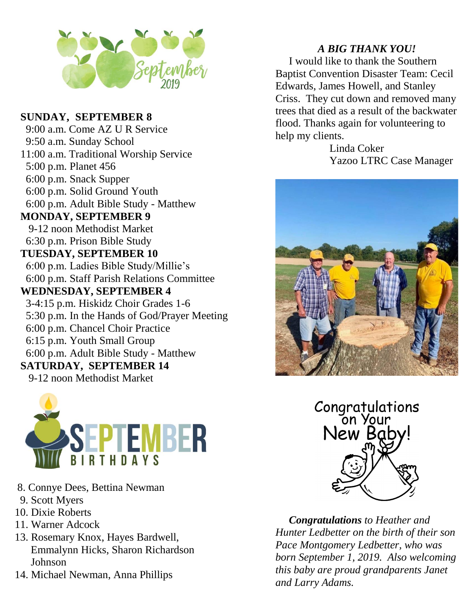

#### **SUNDAY, SEPTEMBER 8**

 9:00 a.m. Come AZ U R Service 9:50 a.m. Sunday School 11:00 a.m. Traditional Worship Service 5:00 p.m. Planet 456 6:00 p.m. Snack Supper 6:00 p.m. Solid Ground Youth 6:00 p.m. Adult Bible Study - Matthew **MONDAY, SEPTEMBER 9** 9-12 noon Methodist Market 6:30 p.m. Prison Bible Study **TUESDAY, SEPTEMBER 10** 6:00 p.m. Ladies Bible Study/Millie's 6:00 p.m. Staff Parish Relations Committee **WEDNESDAY, SEPTEMBER 4** 3-4:15 p.m. Hiskidz Choir Grades 1-6 5:30 p.m. In the Hands of God/Prayer Meeting 6:00 p.m. Chancel Choir Practice 6:15 p.m. Youth Small Group 6:00 p.m. Adult Bible Study - Matthew **SATURDAY, SEPTEMBER 14** 9-12 noon Methodist Market



- 8. Connye Dees, Bettina Newman
- 9. Scott Myers
- 10. Dixie Roberts
- 11. Warner Adcock
- 13. Rosemary Knox, Hayes Bardwell, Emmalynn Hicks, Sharon Richardson Johnson
- 14. Michael Newman, Anna Phillips

#### *A BIG THANK YOU!*

 I would like to thank the Southern Baptist Convention Disaster Team: Cecil Edwards, James Howell, and Stanley Criss. They cut down and removed many trees that died as a result of the backwater flood. Thanks again for volunteering to help my clients.

> Linda Coker Yazoo LTRC Case Manager





 *Congratulations to Heather and Hunter Ledbetter on the birth of their son Pace Montgomery Ledbetter, who was born September 1, 2019. Also welcoming this baby are proud grandparents Janet and Larry Adams.*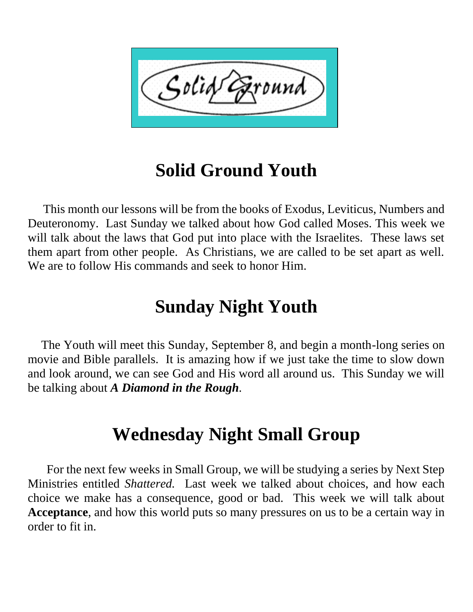

## **Solid Ground Youth**

 This month our lessons will be from the books of Exodus, Leviticus, Numbers and Deuteronomy. Last Sunday we talked about how God called Moses. This week we will talk about the laws that God put into place with the Israelites. These laws set them apart from other people. As Christians, we are called to be set apart as well. We are to follow His commands and seek to honor Him.

## **Sunday Night Youth**

 The Youth will meet this Sunday, September 8, and begin a month-long series on movie and Bible parallels. It is amazing how if we just take the time to slow down and look around, we can see God and His word all around us. This Sunday we will be talking about *A Diamond in the Rough.*

## **Wednesday Night Small Group**

 For the next few weeks in Small Group, we will be studying a series by Next Step Ministries entitled *Shattered.* Last week we talked about choices, and how each choice we make has a consequence, good or bad. This week we will talk about **Acceptance**, and how this world puts so many pressures on us to be a certain way in order to fit in.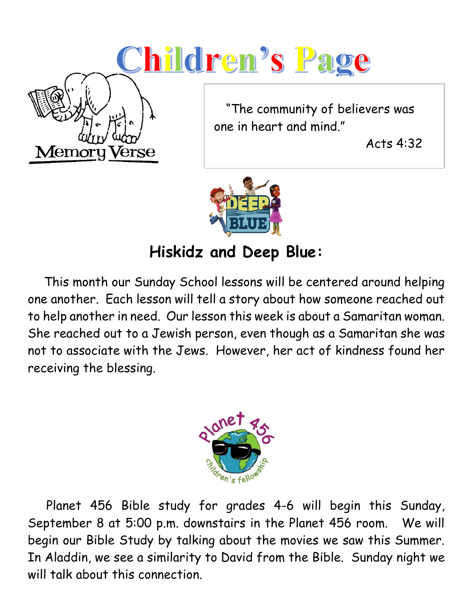# Children's Page



 "The community of believers was one in heart and mind."

Acts 4:32



## **Hiskidz and Deep Blue:**

 This month our Sunday School lessons will be centered around helping one another. Each lesson will tell a story about how someone reached out to help another in need. Our lesson this week is about a Samaritan woman. She reached out to a Jewish person, even though as a Samaritan she was not to associate with the Jews. However, her act of kindness found her receiving the blessing.



 Planet 456 Bible study for grades 4-6 will begin this Sunday, September 8 at 5:00 p.m. downstairs in the Planet 456 room. We will begin our Bible Study by talking about the movies we saw this Summer. In Aladdin, we see a similarity to David from the Bible. Sunday night we will talk about this connection.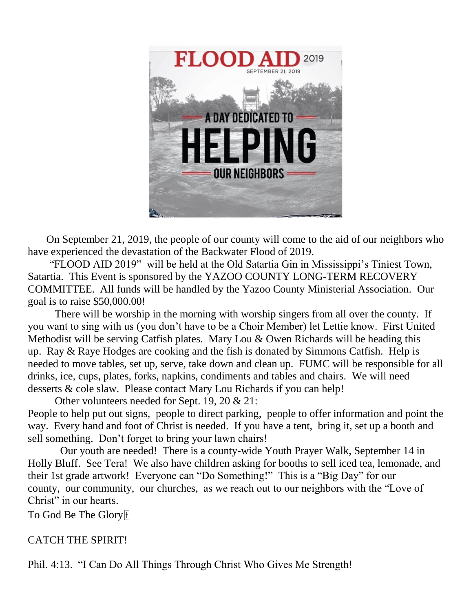

 On September 21, 2019, the people of our county will come to the aid of our neighbors who have experienced the devastation of the Backwater Flood of 2019.

"FLOOD AID 2019" will be held at the Old Satartia Gin in Mississippi's Tiniest Town, Satartia. This Event is sponsored by the YAZOO COUNTY LONG-TERM RECOVERY COMMITTEE. All funds will be handled by the Yazoo County Ministerial Association. Our goal is to raise \$50,000.00!

There will be worship in the morning with worship singers from all over the county. If you want to sing with us (you don't have to be a Choir Member) let Lettie know. First United Methodist will be serving Catfish plates. Mary Lou & Owen Richards will be heading this up. Ray & Raye Hodges are cooking and the fish is donated by Simmons Catfish. Help is needed to move tables, set up, serve, take down and clean up. FUMC will be responsible for all drinks, ice, cups, plates, forks, napkins, condiments and tables and chairs. We will need desserts & cole slaw. Please contact Mary Lou Richards if you can help!

Other volunteers needed for Sept. 19, 20 & 21:

People to help put out signs, people to direct parking, people to offer information and point the way. Every hand and foot of Christ is needed. If you have a tent, bring it, set up a booth and sell something. Don't forget to bring your lawn chairs!

Our youth are needed! There is a county-wide Youth Prayer Walk, September 14 in Holly Bluff. See Tera! We also have children asking for booths to sell iced tea, lemonade, and their 1st grade artwork! Everyone can "Do Something!" This is a "Big Day" for our county, our community, our churches, as we reach out to our neighbors with the "Love of Christ" in our hearts.

To God Be The Glory

#### CATCH THE SPIRIT!

Phil. 4:13. "I Can Do All Things Through Christ Who Gives Me Strength!